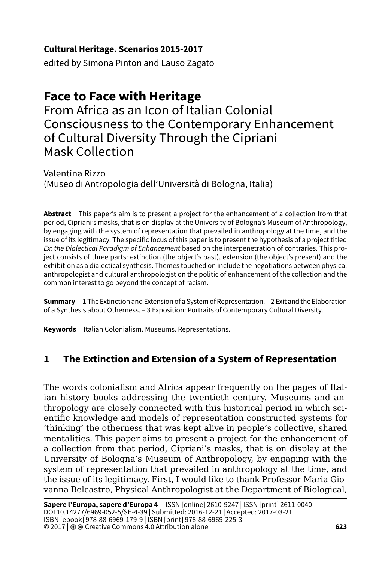## **Cultural Heritage. Scenarios 2015-2017**

edited by Simona Pinton and Lauso Zagato

# **Face to Face with Heritage**

From Africa as an Icon of Italian Colonial Consciousness to the Contemporary Enhancement of Cultural Diversity Through the Cipriani Mask Collection

Valentina Rizzo (Museo di Antropologia dell'Università di Bologna, Italia)

**Abstract** This paper's aim is to present a project for the enhancement of a collection from that period, Cipriani's masks, that is on display at the University of Bologna's Museum of Anthropology, by engaging with the system of representation that prevailed in anthropology at the time, and the issue of its legitimacy. The specific focus of this paper is to present the hypothesis of a project titled *Ex: the Dialectical Paradigm of Enhancement* based on the interpenetration of contraries. This project consists of three parts: extinction (the object's past), extension (the object's present) and the exhibition as a dialectical synthesis. Themes touched on include the negotiations between physical anthropologist and cultural anthropologist on the politic of enhancement of the collection and the common interest to go beyond the concept of racism.

**Summary** 1 The Extinction and Extension of a System of Representation. – 2 Exit and the Elaboration of a Synthesis about Otherness. – 3 Exposition: Portraits of Contemporary Cultural Diversity.

**Keywords** Italian Colonialism. Museums. Representations.

## **1 The Extinction and Extension of a System of Representation**

The words colonialism and Africa appear frequently on the pages of Italian history books addressing the twentieth century. Museums and anthropology are closely connected with this historical period in which scientific knowledge and models of representation constructed systems for 'thinking' the otherness that was kept alive in people's collective, shared mentalities. This paper aims to present a project for the enhancement of a collection from that period, Cipriani's masks, that is on display at the University of Bologna's Museum of Anthropology, by engaging with the system of representation that prevailed in anthropology at the time, and the issue of its legitimacy. First, I would like to thank Professor Maria Giovanna Belcastro, Physical Anthropologist at the Department of Biological,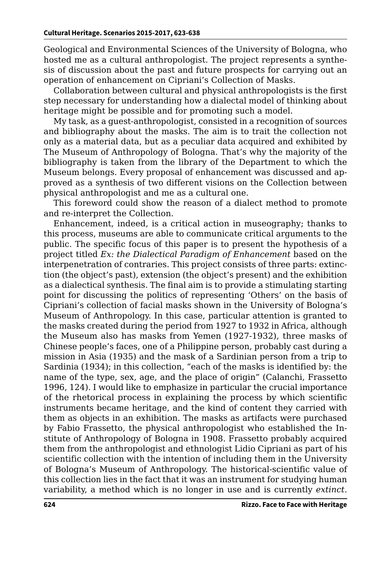Geological and Environmental Sciences of the University of Bologna, who hosted me as a cultural anthropologist. The project represents a synthesis of discussion about the past and future prospects for carrying out an operation of enhancement on Cipriani's Collection of Masks.

Collaboration between cultural and physical anthropologists is the first step necessary for understanding how a dialectal model of thinking about heritage might be possible and for promoting such a model.

My task, as a guest-anthropologist, consisted in a recognition of sources and bibliography about the masks. The aim is to trait the collection not only as a material data, but as a peculiar data acquired and exhibited by The Museum of Anthropology of Bologna. That's why the majority of the bibliography is taken from the library of the Department to which the Museum belongs. Every proposal of enhancement was discussed and approved as a synthesis of two different visions on the Collection between physical anthropologist and me as a cultural one.

This foreword could show the reason of a dialect method to promote and re-interpret the Collection.

Enhancement, indeed, is a critical action in museography; thanks to this process, museums are able to communicate critical arguments to the public. The specific focus of this paper is to present the hypothesis of a project titled *Ex: the Dialectical Paradigm of Enhancement* based on the interpenetration of contraries. This project consists of three parts: extinction (the object's past), extension (the object's present) and the exhibition as a dialectical synthesis. The final aim is to provide a stimulating starting point for discussing the politics of representing 'Others' on the basis of Cipriani's collection of facial masks shown in the University of Bologna's Museum of Anthropology. In this case, particular attention is granted to the masks created during the period from 1927 to 1932 in Africa, although the Museum also has masks from Yemen (1927-1932), three masks of Chinese people's faces, one of a Philippine person, probably cast during a mission in Asia (1935) and the mask of a Sardinian person from a trip to Sardinia (1934); in this collection, "each of the masks is identified by: the name of the type, sex, age, and the place of origin" (Calanchi, Frassetto 1996, 124). I would like to emphasize in particular the crucial importance of the rhetorical process in explaining the process by which scientific instruments became heritage, and the kind of content they carried with them as objects in an exhibition. The masks as artifacts were purchased by Fabio Frassetto, the physical anthropologist who established the Institute of Anthropology of Bologna in 1908. Frassetto probably acquired them from the anthropologist and ethnologist Lidio Cipriani as part of his scientific collection with the intention of including them in the University of Bologna's Museum of Anthropology. The historical-scientific value of this collection lies in the fact that it was an instrument for studying human variability, a method which is no longer in use and is currently *extinct*.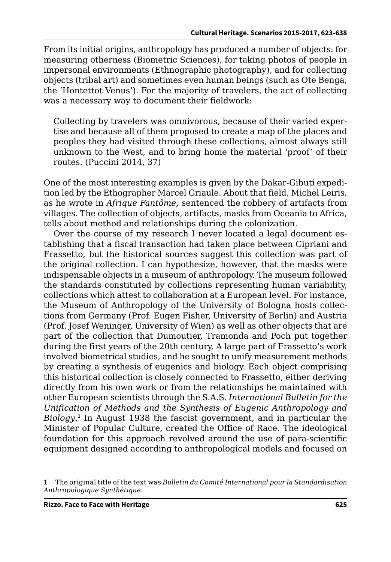From its initial origins, anthropology has produced a number of objects: for measuring otherness (Biometric Sciences), for taking photos of people in impersonal environments (Ethnographic photography), and for collecting objects (tribal art) and sometimes even human beings (such as Ote Benga, the 'Hontettot Venus'). For the majority of travelers, the act of collecting was a necessary way to document their fieldwork:

Collecting by travelers was omnivorous, because of their varied expertise and because all of them proposed to create a map of the places and peoples they had visited through these collections, almost always still unknown to the West, and to bring home the material 'proof' of their routes. (Puccini 2014, 37)

One of the most interesting examples is given by the Dakar-Gibuti expedition led by the Ethographer Marcel Griaule. About that field, Michel Leiris, as he wrote in *Afrique Fantôme,* sentenced the robbery of artifacts from villages. The collection of objects, artifacts, masks from Oceania to Africa, tells about method and relationships during the colonization.

Over the course of my research I never located a legal document establishing that a fiscal transaction had taken place between Cipriani and Frassetto, but the historical sources suggest this collection was part of the original collection. I can hypothesize, however, that the masks were indispensable objects in a museum of anthropology. The museum followed the standards constituted by collections representing human variability, collections which attest to collaboration at a European level. For instance, the Museum of Anthropology of the University of Bologna hosts collections from Germany (Prof. Eugen Fisher, University of Berlin) and Austria (Prof. Josef Weninger, University of Wien) as well as other objects that are part of the collection that Dumoutier, Tramonda and Poch put together during the first years of the 20th century. A large part of Frassetto's work involved biometrical studies, and he sought to unify measurement methods by creating a synthesis of eugenics and biology. Each object comprising this historical collection is closely connected to Frassetto, either deriving directly from his own work or from the relationships he maintained with other European scientists through the S.A.S. *International Bulletin for the Unification of Methods and the Synthesis of Eugenic Anthropology and*  Biology.<sup>1</sup> In August 1938 the fascist government, and in particular the Minister of Popular Culture, created the Office of Race. The ideological foundation for this approach revolved around the use of para-scientific equipment designed according to anthropological models and focused on

**<sup>1</sup>** The original title of the text was *Bulletin du Comité International pour la Standardisation Anthropologique Synthétique*.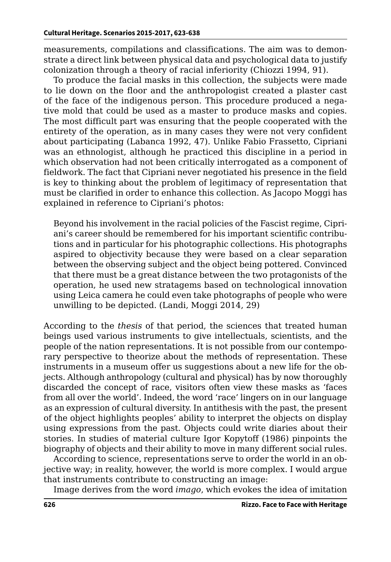measurements, compilations and classifications. The aim was to demonstrate a direct link between physical data and psychological data to justify colonization through a theory of racial inferiority (Chiozzi 1994, 91).

To produce the facial masks in this collection, the subjects were made to lie down on the floor and the anthropologist created a plaster cast of the face of the indigenous person. This procedure produced a negative mold that could be used as a master to produce masks and copies. The most difficult part was ensuring that the people cooperated with the entirety of the operation, as in many cases they were not very confident about participating (Labanca 1992, 47). Unlike Fabio Frassetto, Cipriani was an ethnologist, although he practiced this discipline in a period in which observation had not been critically interrogated as a component of fieldwork. The fact that Cipriani never negotiated his presence in the field is key to thinking about the problem of legitimacy of representation that must be clarified in order to enhance this collection. As Jacopo Moggi has explained in reference to Cipriani's photos:

Beyond his involvement in the racial policies of the Fascist regime, Cipriani's career should be remembered for his important scientific contributions and in particular for his photographic collections. His photographs aspired to objectivity because they were based on a clear separation between the observing subject and the object being pottered. Convinced that there must be a great distance between the two protagonists of the operation, he used new stratagems based on technological innovation using Leica camera he could even take photographs of people who were unwilling to be depicted. (Landi, Moggi 2014, 29)

According to the *thesis* of that period, the sciences that treated human beings used various instruments to give intellectuals, scientists, and the people of the nation representations. It is not possible from our contemporary perspective to theorize about the methods of representation. These instruments in a museum offer us suggestions about a new life for the objects. Although anthropology (cultural and physical) has by now thoroughly discarded the concept of race, visitors often view these masks as 'faces from all over the world'. Indeed, the word 'race' lingers on in our language as an expression of cultural diversity. In antithesis with the past, the present of the object highlights peoples' ability to interpret the objects on display using expressions from the past. Objects could write diaries about their stories. In studies of material culture Igor Kopytoff (1986) pinpoints the biography of objects and their ability to move in many different social rules.

According to science, representations serve to order the world in an objective way; in reality, however, the world is more complex. I would argue that instruments contribute to constructing an image:

Image derives from the word *imago*, which evokes the idea of imitation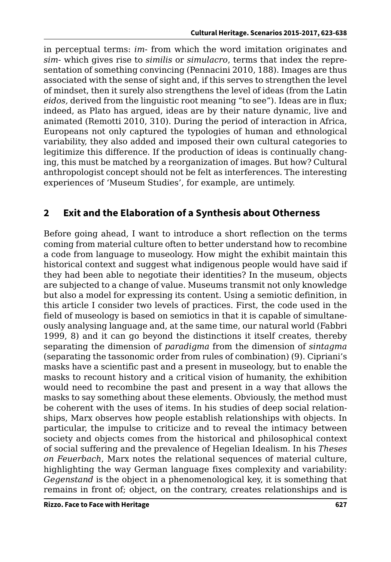in perceptual terms: *im-* from which the word imitation originates and *sim-* which gives rise to *similis* or *simulacro*, terms that index the representation of something convincing (Pennacini 2010, 188). Images are thus associated with the sense of sight and, if this serves to strengthen the level of mindset, then it surely also strengthens the level of ideas (from the Latin *eidos,* derived from the linguistic root meaning "to see"). Ideas are in flux; indeed, as Plato has argued, ideas are by their nature dynamic, live and animated (Remotti 2010, 310). During the period of interaction in Africa, Europeans not only captured the typologies of human and ethnological variability, they also added and imposed their own cultural categories to legitimize this difference. If the production of ideas is continually changing, this must be matched by a reorganization of images. But how? Cultural anthropologist concept should not be felt as interferences. The interesting experiences of 'Museum Studies', for example, are untimely.

## **2 Exit and the Elaboration of a Synthesis about Otherness**

Before going ahead, I want to introduce a short reflection on the terms coming from material culture often to better understand how to recombine a code from language to museology. How might the exhibit maintain this historical context and suggest what indigenous people would have said if they had been able to negotiate their identities? In the museum, objects are subjected to a change of value. Museums transmit not only knowledge but also a model for expressing its content. Using a semiotic definition, in this article I consider two levels of practices. First, the code used in the field of museology is based on semiotics in that it is capable of simultaneously analysing language and, at the same time, our natural world (Fabbri 1999, 8) and it can go beyond the distinctions it itself creates, thereby separating the dimension of *paradigma* from the dimension of *sintagma* (separating the tassonomic order from rules of combination) (9). Cipriani's masks have a scientific past and a present in museology, but to enable the masks to recount history and a critical vision of humanity, the exhibition would need to recombine the past and present in a way that allows the masks to say something about these elements. Obviously, the method must be coherent with the uses of items. In his studies of deep social relationships, Marx observes how people establish relationships with objects. In particular, the impulse to criticize and to reveal the intimacy between society and objects comes from the historical and philosophical context of social suffering and the prevalence of Hegelian Idealism. In his *Theses on Feuerbach*, Marx notes the relational sequences of material culture, highlighting the way German language fixes complexity and variability: *Gegenstand* is the object in a phenomenological key, it is something that remains in front of; object, on the contrary, creates relationships and is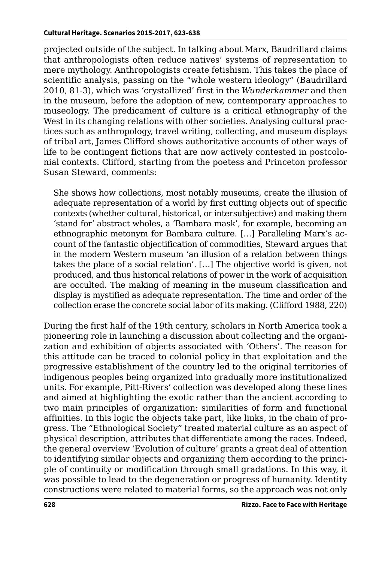projected outside of the subject. In talking about Marx, Baudrillard claims that anthropologists often reduce natives' systems of representation to mere mythology. Anthropologists create fetishism. This takes the place of scientific analysis, passing on the "whole western ideology" (Baudrillard 2010, 81-3), which was 'crystallized' first in the *Wunderkammer* and then in the museum, before the adoption of new, contemporary approaches to museology. The predicament of culture is a critical ethnography of the West in its changing relations with other societies. Analysing cultural practices such as anthropology, travel writing, collecting, and museum displays of tribal art, James Clifford shows authoritative accounts of other ways of life to be contingent fictions that are now actively contested in postcolonial contexts. Clifford, starting from the poetess and Princeton professor Susan Steward, comments:

She shows how collections, most notably museums, create the illusion of adequate representation of a world by first cutting objects out of specific contexts (whether cultural, historical, or intersubjective) and making them 'stand for' abstract wholes, a 'Bambara mask', for example, becoming an ethnographic metonym for Bambara culture. […] Paralleling Marx's account of the fantastic objectification of commodities, Steward argues that in the modern Western museum 'an illusion of a relation between things takes the place of a social relation'. […] The objective world is given, not produced, and thus historical relations of power in the work of acquisition are occulted. The making of meaning in the museum classification and display is mystified as adequate representation. The time and order of the collection erase the concrete social labor of its making. (Clifford 1988, 220)

During the first half of the 19th century, scholars in North America took a pioneering role in launching a discussion about collecting and the organization and exhibition of objects associated with 'Others'. The reason for this attitude can be traced to colonial policy in that exploitation and the progressive establishment of the country led to the original territories of indigenous peoples being organized into gradually more institutionalized units. For example, Pitt-Rivers' collection was developed along these lines and aimed at highlighting the exotic rather than the ancient according to two main principles of organization: similarities of form and functional affinities. In this logic the objects take part, like links, in the chain of progress. The *"*Ethnological Society*"* treated material culture as an aspect of physical description, attributes that differentiate among the races. Indeed, the general overview 'Evolution of culture' grants a great deal of attention to identifying similar objects and organizing them according to the principle of continuity or modification through small gradations. In this way, it was possible to lead to the degeneration or progress of humanity. Identity constructions were related to material forms, so the approach was not only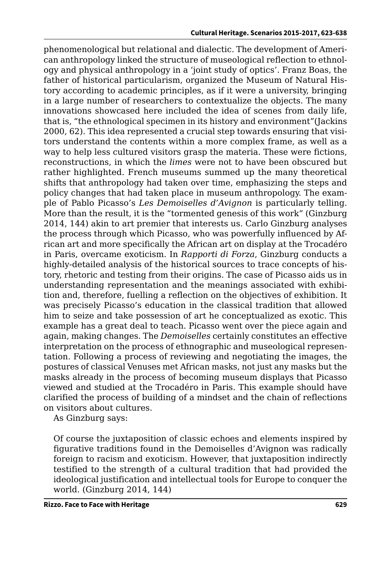phenomenological but relational and dialectic. The development of American anthropology linked the structure of museological reflection to ethnology and physical anthropology in a 'joint study of optics'. Franz Boas, the father of historical particularism, organized the Museum of Natural History according to academic principles, as if it were a university, bringing in a large number of researchers to contextualize the objects. The many innovations showcased here included the idea of scenes from daily life, that is, "the ethnological specimen in its history and environment"(Jackins 2000, 62). This idea represented a crucial step towards ensuring that visitors understand the contents within a more complex frame, as well as a way to help less cultured visitors grasp the materia. These were fictions, reconstructions, in which the *limes* were not to have been obscured but rather highlighted. French museums summed up the many theoretical shifts that anthropology had taken over time, emphasizing the steps and policy changes that had taken place in museum anthropology. The example of Pablo Picasso's *Les Demoiselles d'Avignon* is particularly telling. More than the result, it is the "tormented genesis of this work" (Ginzburg 2014, 144) akin to art premier that interests us. Carlo Ginzburg analyses the process through which Picasso, who was powerfully influenced by African art and more specifically the African art on display at the Trocadéro in Paris, overcame exoticism. In *Rapporti di Forza*, Ginzburg conducts a highly-detailed analysis of the historical sources to trace concepts of history, rhetoric and testing from their origins. The case of Picasso aids us in understanding representation and the meanings associated with exhibition and, therefore, fuelling a reflection on the objectives of exhibition. It was precisely Picasso's education in the classical tradition that allowed him to seize and take possession of art he conceptualized as exotic. This example has a great deal to teach. Picasso went over the piece again and again, making changes. The *Demoiselles* certainly constitutes an effective interpretation on the process of ethnographic and museological representation. Following a process of reviewing and negotiating the images, the postures of classical Venuses met African masks, not just any masks but the masks already in the process of becoming museum displays that Picasso viewed and studied at the Trocadéro in Paris. This example should have clarified the process of building of a mindset and the chain of reflections on visitors about cultures.

As Ginzburg says:

Of course the juxtaposition of classic echoes and elements inspired by figurative traditions found in the Demoiselles d'Avignon was radically foreign to racism and exoticism. However, that juxtaposition indirectly testified to the strength of a cultural tradition that had provided the ideological justification and intellectual tools for Europe to conquer the world. (Ginzburg 2014, 144)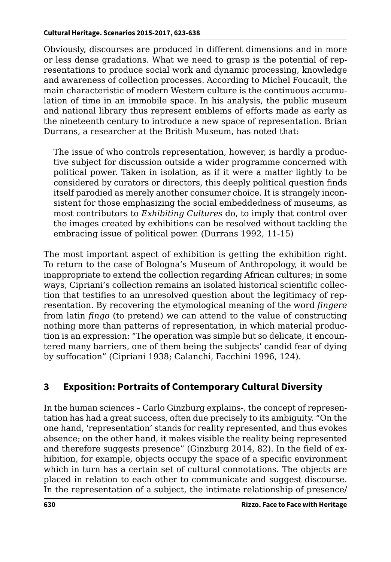Obviously, discourses are produced in different dimensions and in more or less dense gradations. What we need to grasp is the potential of representations to produce social work and dynamic processing, knowledge and awareness of collection processes. According to Michel Foucault, the main characteristic of modern Western culture is the continuous accumulation of time in an immobile space. In his analysis, the public museum and national library thus represent emblems of efforts made as early as the nineteenth century to introduce a new space of representation. Brian Durrans, a researcher at the British Museum, has noted that:

The issue of who controls representation, however, is hardly a productive subject for discussion outside a wider programme concerned with political power. Taken in isolation, as if it were a matter lightly to be considered by curators or directors, this deeply political question finds itself parodied as merely another consumer choice. It is strangely inconsistent for those emphasizing the social embeddedness of museums, as most contributors to *Exhibiting Cultures* do, to imply that control over the images created by exhibitions can be resolved without tackling the embracing issue of political power. (Durrans 1992, 11-15)

The most important aspect of exhibition is getting the exhibition right. To return to the case of Bologna's Museum of Anthropology, it would be inappropriate to extend the collection regarding African cultures; in some ways, Cipriani's collection remains an isolated historical scientific collection that testifies to an unresolved question about the legitimacy of representation. By recovering the etymological meaning of the word *fingere* from latin *fingo* (to pretend) we can attend to the value of constructing nothing more than patterns of representation, in which material production is an expression: "The operation was simple but so delicate, it encountered many barriers, one of them being the subjects' candid fear of dying by suffocation" (Cipriani 1938; Calanchi, Facchini 1996, 124).

## **3 Exposition: Portraits of Contemporary Cultural Diversity**

In the human sciences – Carlo Ginzburg explains-, the concept of representation has had a great success, often due precisely to its ambiguity. "On the one hand, 'representation' stands for reality represented, and thus evokes absence; on the other hand, it makes visible the reality being represented and therefore suggests presence" (Ginzburg 2014, 82). In the field of exhibition, for example, objects occupy the space of a specific environment which in turn has a certain set of cultural connotations. The objects are placed in relation to each other to communicate and suggest discourse. In the representation of a subject, the intimate relationship of presence/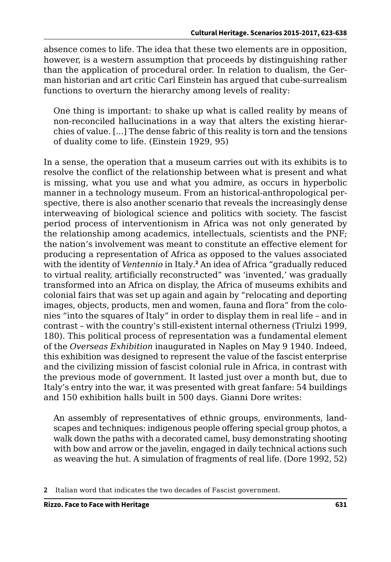absence comes to life. The idea that these two elements are in opposition, however, is a western assumption that proceeds by distinguishing rather than the application of procedural order. In relation to dualism, the German historian and art critic Carl Einstein has argued that cube-surrealism functions to overturn the hierarchy among levels of reality:

One thing is important: to shake up what is called reality by means of non-reconciled hallucinations in a way that alters the existing hierarchies of value. [...] The dense fabric of this reality is torn and the tensions of duality come to life. (Einstein 1929, 95)

In a sense, the operation that a museum carries out with its exhibits is to resolve the conflict of the relationship between what is present and what is missing, what you use and what you admire, as occurs in hyperbolic manner in a technology museum. From an historical-anthropological perspective, there is also another scenario that reveals the increasingly dense interweaving of biological science and politics with society. The fascist period process of interventionism in Africa was not only generated by the relationship among academics, intellectuals, scientists and the PNF; the nation's involvement was meant to constitute an effective element for producing a representation of Africa as opposed to the values associated with the identity of *Ventennio* in Italy*.* **2** An idea of Africa "gradually reduced to virtual reality, artificially reconstructed" was 'invented,' was gradually transformed into an Africa on display, the Africa of museums exhibits and colonial fairs that was set up again and again by "relocating and deporting images, objects, products, men and women, fauna and flora" from the colonies "into the squares of Italy" in order to display them in real life – and in contrast – with the country's still-existent internal otherness (Triulzi 1999, 180). This political process of representation was a fundamental element of the *Overseas Exhibition* inaugurated in Naples on May 9 1940. Indeed, this exhibition was designed to represent the value of the fascist enterprise and the civilizing mission of fascist colonial rule in Africa, in contrast with the previous mode of government. It lasted just over a month but, due to Italy's entry into the war, it was presented with great fanfare: 54 buildings and 150 exhibition halls built in 500 days. Gianni Dore writes:

An assembly of representatives of ethnic groups, environments, landscapes and techniques: indigenous people offering special group photos, a walk down the paths with a decorated camel, busy demonstrating shooting with bow and arrow or the javelin, engaged in daily technical actions such as weaving the hut. A simulation of fragments of real life. (Dore 1992, 52)

**<sup>2</sup>** Italian word that indicates the two decades of Fascist government.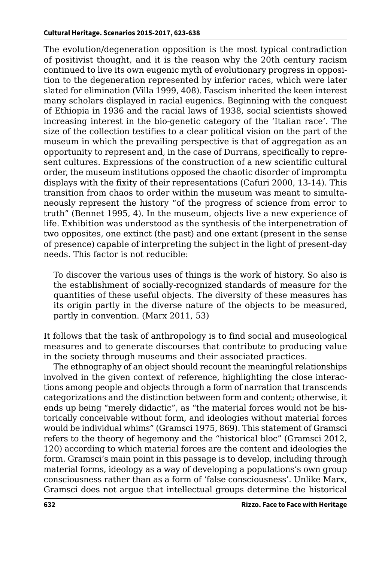The evolution/degeneration opposition is the most typical contradiction of positivist thought, and it is the reason why the 20th century racism continued to live its own eugenic myth of evolutionary progress in opposition to the degeneration represented by inferior races, which were later slated for elimination (Villa 1999, 408). Fascism inherited the keen interest many scholars displayed in racial eugenics. Beginning with the conquest of Ethiopia in 1936 and the racial laws of 1938, social scientists showed increasing interest in the bio-genetic category of the 'Italian race'. The size of the collection testifies to a clear political vision on the part of the museum in which the prevailing perspective is that of aggregation as an opportunity to represent and, in the case of Durrans, specifically to represent cultures. Expressions of the construction of a new scientific cultural order, the museum institutions opposed the chaotic disorder of impromptu displays with the fixity of their representations (Cafuri 2000, 13-14). This transition from chaos to order within the museum was meant to simultaneously represent the history "of the progress of science from error to truth" (Bennet 1995, 4). In the museum, objects live a new experience of life. Exhibition was understood as the synthesis of the interpenetration of two opposites, one extinct (the past) and one extant (present in the sense of presence) capable of interpreting the subject in the light of present-day needs. This factor is not reducible:

To discover the various uses of things is the work of history. So also is the establishment of socially-recognized standards of measure for the quantities of these useful objects. The diversity of these measures has its origin partly in the diverse nature of the objects to be measured, partly in convention. (Marx 2011, 53)

It follows that the task of anthropology is to find social and museological measures and to generate discourses that contribute to producing value in the society through museums and their associated practices.

The ethnography of an object should recount the meaningful relationships involved in the given context of reference, highlighting the close interactions among people and objects through a form of narration that transcends categorizations and the distinction between form and content; otherwise, it ends up being "merely didactic", as "the material forces would not be historically conceivable without form, and ideologies without material forces would be individual whims" (Gramsci 1975, 869). This statement of Gramsci refers to the theory of hegemony and the "historical bloc" (Gramsci 2012, 120) according to which material forces are the content and ideologies the form. Gramsci's main point in this passage is to develop, including through material forms, ideology as a way of developing a populations's own group consciousness rather than as a form of 'false consciousness'. Unlike Marx, Gramsci does not argue that intellectual groups determine the historical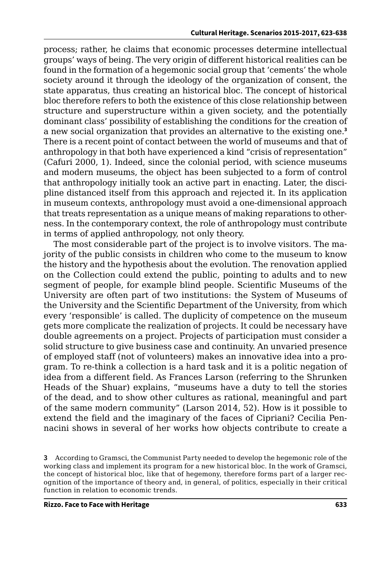process; rather, he claims that economic processes determine intellectual groups' ways of being. The very origin of different historical realities can be found in the formation of a hegemonic social group that 'cements' the whole society around it through the ideology of the organization of consent, the state apparatus, thus creating an historical bloc. The concept of historical bloc therefore refers to both the existence of this close relationship between structure and superstructure within a given society, and the potentially dominant class' possibility of establishing the conditions for the creation of a new social organization that provides an alternative to the existing one.**<sup>3</sup>** There is a recent point of contact between the world of museums and that of anthropology in that both have experienced a kind "crisis of representation" (Cafuri 2000, 1). Indeed, since the colonial period, with science museums and modern museums, the object has been subjected to a form of control that anthropology initially took an active part in enacting. Later, the discipline distanced itself from this approach and rejected it. In its application in museum contexts, anthropology must avoid a one-dimensional approach that treats representation as a unique means of making reparations to otherness. In the contemporary context, the role of anthropology must contribute in terms of applied anthropology, not only theory.

The most considerable part of the project is to involve visitors. The majority of the public consists in children who come to the museum to know the history and the hypothesis about the evolution. The renovation applied on the Collection could extend the public, pointing to adults and to new segment of people, for example blind people. Scientific Museums of the University are often part of two institutions: the System of Museums of the University and the Scientific Department of the University, from which every 'responsible' is called. The duplicity of competence on the museum gets more complicate the realization of projects. It could be necessary have double agreements on a project. Projects of participation must consider a solid structure to give business case and continuity. An unvaried presence of employed staff (not of volunteers) makes an innovative idea into a program. To re-think a collection is a hard task and it is a politic negation of idea from a different field. As Frances Larson (referring to the Shrunken Heads of the Shuar) explains, "museums have a duty to tell the stories of the dead, and to show other cultures as rational, meaningful and part of the same modern community" (Larson 2014, 52). How is it possible to extend the field and the imaginary of the faces of Cipriani? Cecilia Pennacini shows in several of her works how objects contribute to create a

**<sup>3</sup>** According to Gramsci, the Communist Party needed to develop the hegemonic role of the working class and implement its program for a new historical bloc. In the work of Gramsci, the concept of historical bloc, like that of hegemony, therefore forms part of a larger recognition of the importance of theory and, in general, of politics, especially in their critical function in relation to economic trends.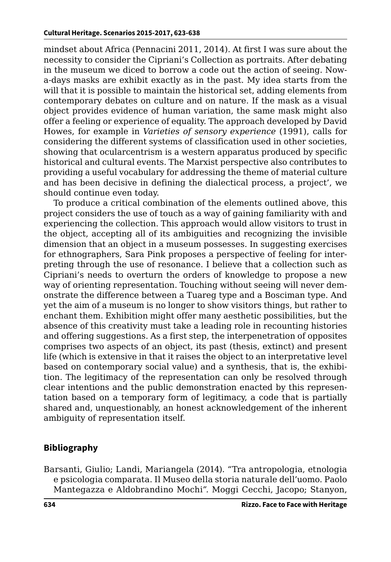mindset about Africa (Pennacini 2011, 2014). At first I was sure about the necessity to consider the Cipriani's Collection as portraits. After debating in the museum we diced to borrow a code out the action of seeing. Nowa-days masks are exhibit exactly as in the past. My idea starts from the will that it is possible to maintain the historical set, adding elements from contemporary debates on culture and on nature. If the mask as a visual object provides evidence of human variation, the same mask might also offer a feeling or experience of equality. The approach developed by David Howes, for example in *Varieties of sensory experience* (1991), calls for considering the different systems of classification used in other societies, showing that ocularcentrism is a western apparatus produced by specific historical and cultural events. The Marxist perspective also contributes to providing a useful vocabulary for addressing the theme of material culture and has been decisive in defining the dialectical process, a project', we should continue even today.

To produce a critical combination of the elements outlined above, this project considers the use of touch as a way of gaining familiarity with and experiencing the collection. This approach would allow visitors to trust in the object, accepting all of its ambiguities and recognizing the invisible dimension that an object in a museum possesses. In suggesting exercises for ethnographers, Sara Pink proposes a perspective of feeling for interpreting through the use of resonance. I believe that a collection such as Cipriani's needs to overturn the orders of knowledge to propose a new way of orienting representation. Touching without seeing will never demonstrate the difference between a Tuareg type and a Bosciman type. And yet the aim of a museum is no longer to show visitors things, but rather to enchant them. Exhibition might offer many aesthetic possibilities, but the absence of this creativity must take a leading role in recounting histories and offering suggestions. As a first step, the interpenetration of opposites comprises two aspects of an object, its past (thesis, extinct) and present life (which is extensive in that it raises the object to an interpretative level based on contemporary social value) and a synthesis, that is, the exhibition. The legitimacy of the representation can only be resolved through clear intentions and the public demonstration enacted by this representation based on a temporary form of legitimacy, a code that is partially shared and, unquestionably, an honest acknowledgement of the inherent ambiguity of representation itself.

## **Bibliography**

Barsanti, Giulio; Landi, Mariangela (2014). "Tra antropologia, etnologia e psicologia comparata. Il Museo della storia naturale dell'uomo. Paolo Mantegazza e Aldobrandino Mochi*".* Moggi Cecchi, Jacopo; Stanyon,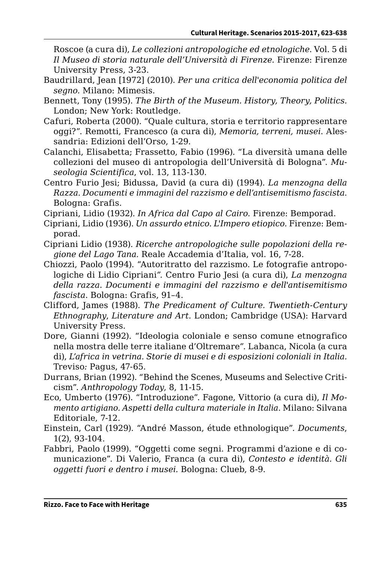Roscoe (a cura di), *Le collezioni antropologiche ed etnologiche*. Vol. 5 di *Il Museo di storia naturale dell'Università di Firenze.* Firenze: Firenze University Press, 3-23.

- Baudrillard, Jean [1972] (2010). *Per una critica dell'economia politica del segno.* Milano: Mimesis.
- Bennett, Tony (1995). *The Birth of the Museum. History, Theory, Politics.* London; New York: Routledge.
- Cafuri, Roberta (2000). "Quale cultura, storia e territorio rappresentare oggi?". Remotti, Francesco (a cura di), *Memoria, terreni, musei*. Alessandria: Edizioni dell'Orso, 1-29.
- Calanchi, Elisabetta; Frassetto, Fabio (1996). "La diversità umana delle collezioni del museo di antropologia dell'Università di Bologna". *Museologia Scientifica*, vol. 13, 113-130.
- Centro Furio Jesi; Bidussa, David (a cura di) (1994). *La menzogna della Razza. Documenti e immagini del razzismo e dell'antisemitismo fascista.* Bologna: Grafis.
- Cipriani, Lidio (1932). *In Africa dal Capo al Cairo.* Firenze: Bemporad.
- Cipriani, Lidio (1936). *Un assurdo etnico. L'Impero etiopico.* Firenze: Bemporad.
- Cipriani Lidio (1938). *Ricerche antropologiche sulle popolazioni della regione del Lago Tana.* Reale Accademia d'Italia, vol. 16, 7-28.
- Chiozzi, Paolo (1994). "Autoritratto del razzismo. Le fotografie antropologiche di Lidio Cipriani*".* Centro Furio Jesi (a cura di), *La menzogna della razza. Documenti e immagini del razzismo e dell'antisemitismo fascista*. Bologna: Grafis, 91–4.
- Clifford, James (1988). *The Predicament of Culture. Twentieth-Century Ethnography*, *Literature and Art*. London; Cambridge (USA): Harvard University Press.
- Dore, Gianni (1992). "Ideologia coloniale e senso comune etnografico nella mostra delle terre italiane d'Oltremare*"*. Labanca, Nicola (a cura di), *L'africa in vetrina. Storie di musei e di esposizioni coloniali in Italia.*  Treviso*:* Pagus, 47-65.
- Durrans, Brian (1992). *"*Behind the Scenes, Museums and Selective Criticism". *Anthropology Today*, 8, 11-15.
- Eco, Umberto (1976). "Introduzione". Fagone, Vittorio (a cura di), *Il Momento artigiano. Aspetti della cultura materiale in Italia*. Milano: Silvana Editoriale, 7-12.
- Einstein, Carl (1929). "André Masson, étude ethnologique". *Documents*, 1(2), 93-104.
- Fabbri, Paolo (1999). "Oggetti come segni. Programmi d'azione e di comunicazione". Di Valerio, Franca (a cura di), *Contesto e identità. Gli oggetti fuori e dentro i musei.* Bologna: Clueb, 8-9.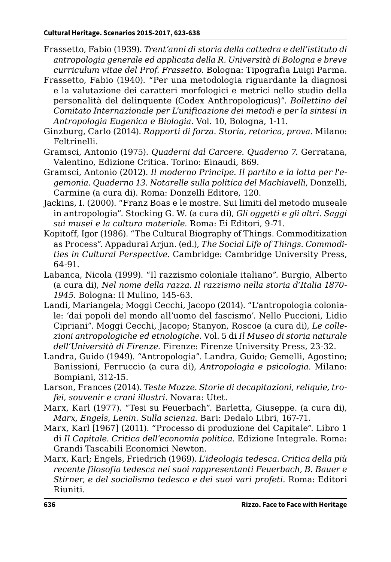- Frassetto, Fabio (1939). *Trent'anni di storia della cattedra e dell'istituto di antropologia generale ed applicata della R. Università di Bologna e breve curriculum vitae del Prof. Frassetto.* Bologna: Tipografia Luigi Parma.
- Frassetto, Fabio (1940). "Per una metodologia riguardante la diagnosi e la valutazione dei caratteri morfologici e metrici nello studio della personalità del delinquente (Codex Anthropologicus)". *Bollettino del Comitato Internazionale per L'unificazione dei metodi e per la sintesi in Antropologia Eugenica e Biologia*. Vol. 10, Bologna, 1-11.
- Ginzburg, Carlo (2014). *Rapporti di forza. Storia, retorica, prova*. Milano: Feltrinelli.
- Gramsci, Antonio (1975). *Quaderni dal Carcere. Quaderno 7*. Gerratana, Valentino, Edizione Critica. Torino: Einaudi, 869.
- Gramsci, Antonio (2012). *Il moderno Principe. Il partito e la lotta per l'egemonia. Quaderno 13. Notarelle sulla politica del Machiavelli*, Donzelli, Carmine (a cura di). Roma: Donzelli Editore, 120.
- Jackins, I. (2000). "Franz Boas e le mostre. Sui limiti del metodo museale in antropologia". Stocking G. W. (a cura di), *Gli oggetti e gli altri. Saggi sui musei e la cultura materiale*. Roma: Ei Editori, 9-71.
- Kopitoff, Igor (1986). "The Cultural Biography of Things. Commoditization as Process"*.* Appadurai Arjun. (ed.), *The Social Life of Things. Commodities in Cultural Perspective.* Cambridge: Cambridge University Press, 64-91.
- Labanca, Nicola (1999). "Il razzismo coloniale italiano*".* Burgio, Alberto (a cura di), *Nel nome della razza. Il razzismo nella storia d'Italia 1870- 1945*. Bologna: Il Mulino, 145-63.
- Landi, Mariangela; Moggi Cecchi, Jacopo (2014). "L'antropologia coloniale: 'dai popoli del mondo all'uomo del fascismo'. Nello Puccioni, Lidio Cipriani". Moggi Cecchi, Jacopo; Stanyon, Roscoe (a cura di), *Le collezioni antropologiche ed etnologiche*. Vol. 5 di *Il Museo di storia naturale dell'Università di Firenze.* Firenze: Firenze University Press, 23-32.
- Landra, Guido (1949). "Antropologia". Landra, Guido; Gemelli, Agostino; Banissioni, Ferruccio (a cura di), *Antropologia e psicologia.* Milano: Bompiani, 312-15.
- Larson, Frances (2014). *Teste Mozze. Storie di decapitazioni, reliquie, trofei, souvenir e crani illustri.* Novara: Utet.
- Marx, Karl (1977). "Tesi su Feuerbach". Barletta, Giuseppe. (a cura di), *Marx, Engels, Lenin. Sulla scienza.* Bari: Dedalo Libri, 167-71.
- Marx, Karl [1967] (2011). *"*Processo di produzione del Capitale"*.* Libro 1 di *Il Capitale. Critica dell'economia politica.* Edizione Integrale. Roma: Grandi Tascabili Economici Newton.
- Marx, Karl; Engels, Friedrich (1969). *L'ideologia tedesca. Critica della più recente filosofia tedesca nei suoi rappresentanti Feuerbach, B. Bauer e Stirner, e del socialismo tedesco e dei suoi vari profeti.* Roma: Editori Riuniti.